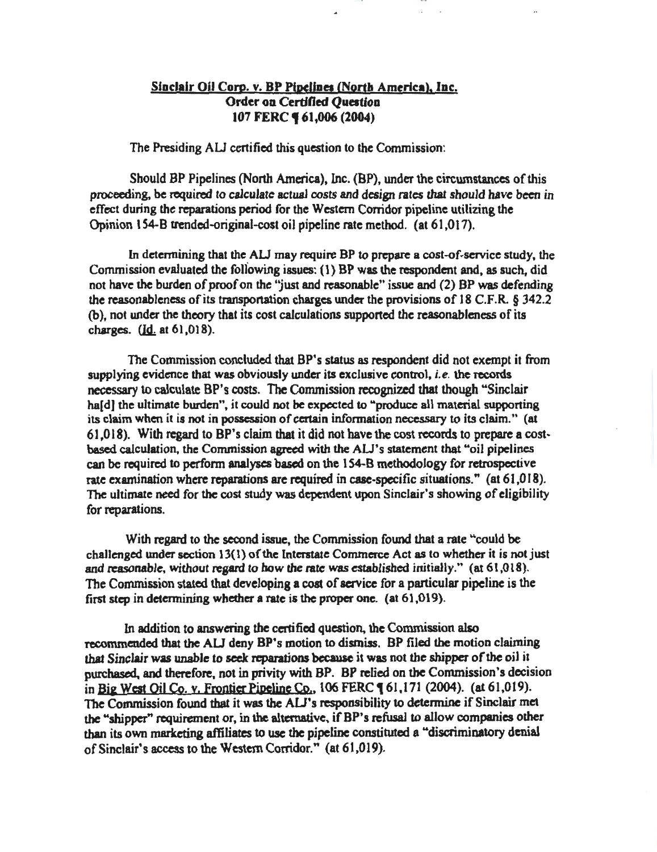# Sinclair Oil Corp. v. BP Pipelines (North America), Inc. Order on Certified Question 107 FERC **461,006 (2004)**

The Presiding AU certified this question to the Commission:

Should BP Pipelines (North America), Inc. (BP), under the circumstances of this proceeding, be required to calculate actual costs and design rates that should have been in effect during the reparations period for the Western Corridor pipeline utilizing the Opinion 154-B trended-original-cost oil pipeline rate method. (at 61,017).

In detennining that the AU may require BP to prepare a cost-of·service study, the Commission evaluated the following issues: ( 1) BP was the respondent and, as such, did not have the burden of proof on the 'just and reasonable" issue and (2) BP was defending the reasonableness of its transportation charges under the provisions of 18 C.F.R.  $\S$  342.2 (b), not under the theory that its cost calculations supported the reasonableness of its charges.  $(\underline{Id}$  at  $61,018)$ .

The Commission concluded that BP's status as respondent did not exempt it from supplying evidence that was obviously under its exclusive control, *i.e.* the records necessary to calculate BP's costs. The Commission recognized that though "Sinclair ha[d] the ultimate burden", it could not be expected to "produce all material supporting its claim when it is not in possession of certain information necessary to its claim." (at 61,018). With regard to BP's claim that it did not have the cost records to prepare a cost· based calculation. the Commission agreed with the AU's statement that "oil pipelines can be required to perform analyses based on the 154-8 methodology for retrospective rate examination where reparations are required in case-specific situations." (at  $61,018$ ). The ultimate need for the cost study was dependent upon Sinclair's showing of eligibility for reparations.

With regard to the second issue, the Commission found that a rate "could be challenged under section 13(1) of the Interstate Commerce Act as to whether it is not just and reasonable, without regard to how the rate was established initially." (at 61,018). The Commission stated that developing a cost of service for a particular pipeline is the first step in determining whether a rate is the proper one. (at 61,019).

In addition to answering the certified question, the Commission also recommended that the AU deny BP's motion to dismiss. BP filed the motion claiming that Sinclair was unable to seek reparations because it was not the shipper of the oil it purchased, and therefore, not in privity with BP. BP relied on the Commission's decision in Big West Oil Co. y. Frontier Pipeline Co., 106 FERC 161,171 (2004). (at 61,019). The Commission found that it was the AU's responsibility to determine if Sinclair met the "shipper" requirement or, in the alternative, ifBP's refusal to allow companies other than its own marketing affiliates to use the pipeline constituted a "discriminatory denial of Sinclair's access to the Western Corridor." (at 61,019).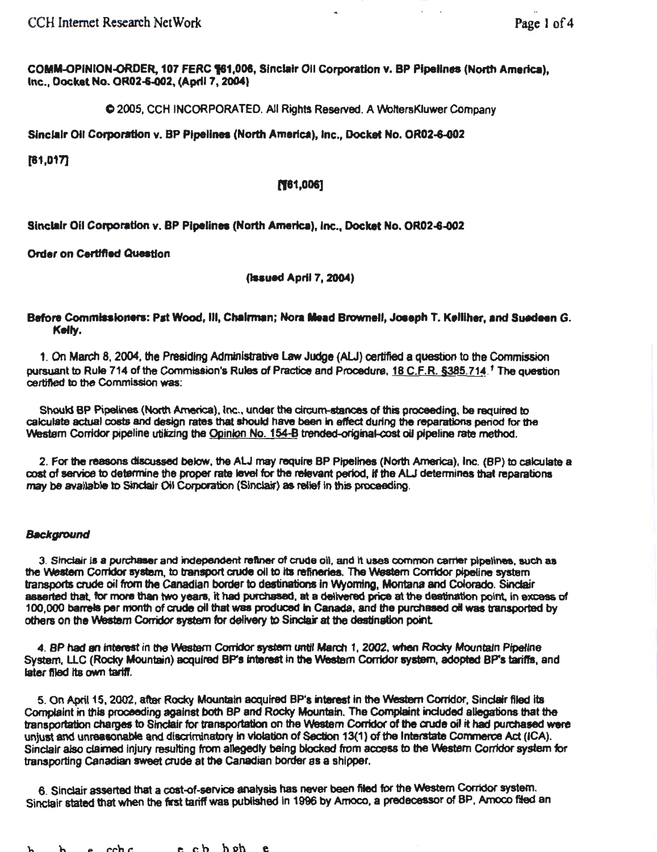COMM-OPINION-ORDER, 107 FERC 161,008, Sinclair Oil Corporation v. BP Pipelines (North America), Inc., Docket No. OR02+002, (April7, 2004)

C 2005, CCH INCORPORATED. All Rights Reserved. A VVoltersKluwer Company

Sinclair Oil Corporation v. BP Pipelines (North America), Inc., Docket No. OR02-6-002

[81,017]

### ('181,006]

Sinclair Oil Corporation v. BP Pipelines (North America), Inc., Docket No. OR02-6-002

Order on Certified Question

(Issued April 7, 2004)

## Before Commissioners: Pat Wood, Ill, Chalrman; Nora Mead Brownell, Joseph T. Kelliher, and Suedeen G. Kefty.

1. On March 8, 2004, the Presiding Administrative Law Judge (ALJ) certified a question to the Commission pursuant to Rule 714 of the Commission's Rules of Practice and Procedure, 18 C.F.R. §385.714.<sup>7</sup> The question cettifted to the Commission was:

Should BP Pipelines (North America), Inc., under the circum-stances of this proceeding, be required to calculate actual costs and design rates that should have been in effect during the reparations period for the Western Corridor pipeline utilizing the Opinion No. 154-B trended-original-cost oil pipeline rate method.

2. For the reasons discussed below, the ALJ may require BP Pipelines (North America), Inc. (BP) to calculate a cost of service to determine the proper rate level for the relevant period, if the ALJ determines that reparations may be available to Sinclair Oil Corporation (Sinclair) as relief in this proceeding.

#### **Background**

3. Sinclair is a purdlaser and independent refiner of crude oil, and It uses common earner pipelines, such as the Western Corridor system, to transport crude oil to its refineries. The Western Corridor pipeline system transports crude oil from the Canadian border to destinations in Wyoming, Montana and Colorado. Sinclair aaeerted that, for more than two years, it had purchased. at a delivered price at the destination point. in excess of 100,000 barrels per month of crude oil that was produced In canada, and the purchased oil was transported by others on the Western Corridor system for delivery to Sinclair at the destination point.

4. BP had an interest in the Western Corridor system until March 1, 2002, when Rocky Mountain Pipeline System, LLC (Rocky Mountain) acquired BP's interest in the Western Corridor system, adopted BP's tariffs, and later filed its own tariff.

5. On April 15, 2002, after Rocky Mountain acquired BP's Interest In the Western Conidor, Sindair filed Its Complaint in this proceeding against both BP and Rocky Mountain. The Complaint included allegations that the transportation charges to Sinclair for transportation on the Western Corridor of the aude oil it had purchased were unjust and unreasonable and discriminatory in violation of Section 13(1) of the Interstate Commerce Act (ICA). Sinclair also claimed injury resulting from allegedly being blocked from access to the Western Corridor system for transporting Canadian sweet crude at the Canadian border as a shipper.

6. Slndair asserted that a cost-of-service analysis has nevar been fited for the Western Corridor system. Sinclair stated that when the first tariff was published in 1996 by Amoco, a predecessor of BP, Amoco filed an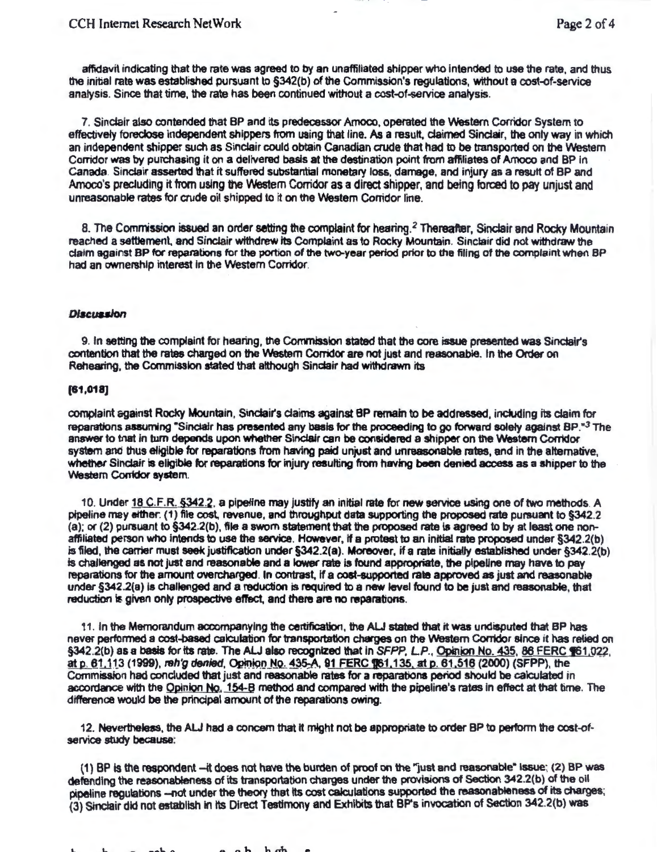affidavit indicating that the rate was agreed to by an unaffiliated shipper who Intended to use the rate. and thus the initial rate was established pursuant to §342(b) of the Commission's regulations, without a cost~f-service analysis. Since that time. the rate has been continued without a cost~f-service analysis.

7. Sinclair also contended that BP and its predecessor Amoco. operated the Western Corridor System to effectively foreclose Independent shippers from using that line. As a result, claimed Sinclair, the only way in which an independent shipper such as Sinclair could obtain Canadian crude that had to be transported on the Western Corridor was by purchasing it on a delivered basis at the destination point from affiliates of Amoco and BP In Canada. Sinclair asserted that it suffered substantial monetary loss, damage, and injury as a result of BP and Amoco's precluding it from using the Western Corridor as a direct shipper, and being forced to pay unjust and unreasonable rates for crude oil shipped to it on the Western Corridor line.

8. The Commission issued an order setting the complaint for hearing.<sup>2</sup> Thereafter, Sinclair and Rocky Mountain reached a settlement, and Sinclair withdrew its Complaint as to Rocky Mountain. Sinclair did not withdraw the claim against BP for reparations for the portion of the two-year period prior to the filing of the complaint when BP had an ownership interest in the Western Corridor.

### **Discussion**

9. In setting the complaint for hearing, the Convnisslon stated that the core issue presented was Stndair's contention that the rates charged on the Western Corridor are not just and reasonable. In the Order on Rehearing, the Commission stated that although Sindair had withdrawn its

#### [81,018]

complaint against Rocky Mountain, Sinclair's daims against BP remain to be addressed, including Its claim for reparations assuming "Sinclair has presented any basis for the proceeding to go forward solely against BP.<sup>•3</sup> The answer to tnat in tum depends upon whether Sinclair can be considered a shipper on the Western Corridor system and thus eflgible for reparations from having paid unjust and unreasonable rates, and in the alternative, whether Slndair is eligible for reparations for injury resutting from having been denied access as a shipper to the Western Corridor system.

10. Under 18 C.F.R. §342.2. a pipeffne may justify an initial rate for new service using one of two methods. A pipeline may eittler. (1) file cost. revenue, and throughput data supporting the proposed rate pursuant to §342.2 (a); or (2) pursuant to §342.2(b), file a swom statement that the proposed rate ls agreed to by at least one nonaffiliated person who intends to use the service. However, if a protest to an initial rate proposed under §342.2(b) is filed, the carrier must seek justification under §342.2(a). Moreover, if a rate initially established under §342.2(b) is challenged as not just and reasonable and a lower rate is found appropriate, the pipeline may have to pay reparations for the amount overcharged. In contrast. If a cost-supported rate approved as just and reasonable under §342.2(a) is challenged and a reduction is required to a new level found to be just and reasonable, that reduction is given only prospective effect, and there are no reparations.

11. In the Memorandum accompanying the certification, the AU stated that it was undisputed that BP has never performed a cost-based calculation for transportation charges on the Western Corridor since it has relied on §342.2(b) as a basis for its rate. The ALJ also recognized that in SFPP, L.P., Opinion No. 435, 86 FERC §61,022, at p. 61,113 (1999), reh'g denied, Opinion No. 435-A, 91 FERC \$61,022, at p. 61,516 (2000) (SFPP), the Commission had concluded that just and reasonable rates for a reparations period should be calculated in accordance with the Opinion No. 154-B method and compared with the pipeline's rates in effect at that time. The difference would be the prfncipal amount of the reparations owing.

12. Nevertheless, the ALJ had a concern that it might not be appropriate to order BP to perform the cost-ofservice study because:

(1) BP is the respondent -- it does not have the burden of proof on the "just and reasonable" issue; (2) BP was defending the reasonableness of its transportation charges under the provisions of Section 342.2(b) of the oil pipeline regulations -- not under the theory that its cost calculations supported the reasonableness of its charges; (3) Sinclair did not establish in its Direct Testimony and Exhibits that BP's invocation of Section 342.2(b) was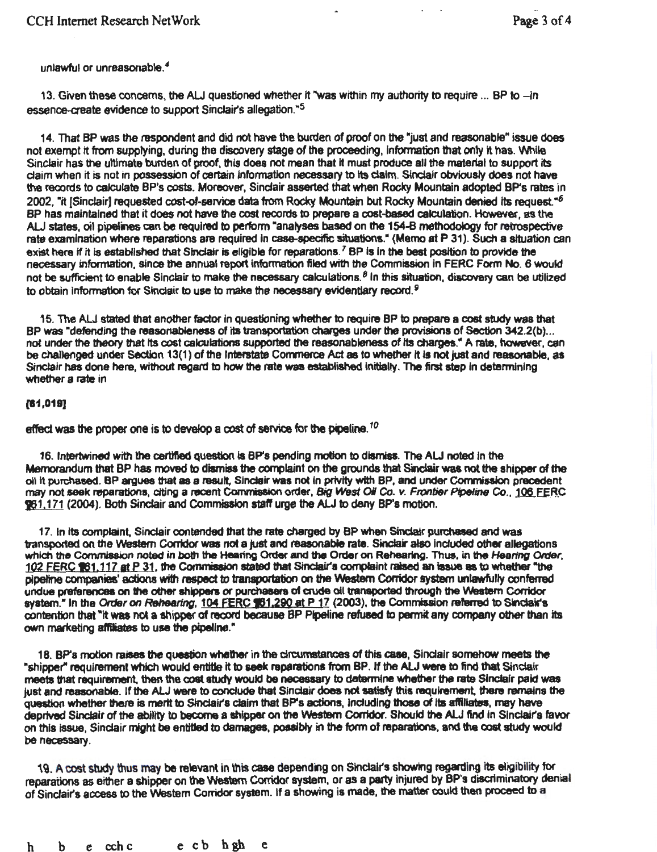unlawful or unreasonable. *4* 

13. Given these concerns, the ALJ questioned whether it "was within my authority to require ... BP to -in essence-create evidence to support Sinclair's allegation."<sup>5</sup>

14. That BP was the respondent and did not have the burden of proof on the "just and reasonable" issue does not exempt it from supplying, during the discovery stage of the proceeding, information that only it has. While Sinclair has the ultimate burden of proof, thls does not mean that it must produce all the material to support its daim when it is not in possession of certain Information necessary to Its dalm. Sindalr obviously does not have the records to calculate BP's costs. Moreover, Sindair asserted that when Rocky Mountain adopted BP's rates in 2002, "it [Sinclair] requested cost-of-service data from Rocky Mountain but Rocky Mountain denied its request."<sup>6</sup> BP has maintained that it does not have the cost records to prepare a cost-based calculation. However, as the AU states, oil pipelines can be required to perform "analyses based on the 154-8 methodology for retrospective rate examination where reparations are required in case-specific situations." (Memo at P 31). Such a situation can exist here if it is established that Sinclair is eligible for reparations.<sup>7</sup> BP is in the best position to provide the necessary information, since the annual report infonnation filed with the Commission In FERC Form No. 6 would not be sufficient to enable Sinclair to make the necessary calculations. <sup>8</sup> 1n this situation, discovery can be utilized to obtain information for Sinclair to use to make the necessary evidentiary record.<sup>9</sup>

15. The AU stated that another factor in questioning whether to require BP to prepare a cost study was that BP was "defending the reasonableness of its transportation charges under the provisions of Section 342.2(b)... not under the theory that Its cost calculations supported the reasonableness of Its charges." A rate, however, can be challenged under Section 13(1) of the lntefstate Corrmerce Act as to whether It is not just and reasonable, as Sinctair has done here, without regard to how the rate was established initially. The first step in determining whether a rate in

#### $[61,019]$

effect was the proper one is to develop a cost of service for the pipeline.<sup>10</sup>

16. Intertwined with the certified question is BP's pending motion to dismiss. The ALJ noted in the Memorandum that BP has moved to dismiss the complaint on the grounds that Sinclair was not the shipper of the oil it purchased. BP argues that as a result, Sinclair was not in privity with BP, and under Commission precedent may not seek reparations, citing a recent Commission order, Big West Oil Co. v. Frontier Pipeline Co., 106 FERC z; 1.171 (2004 ). Both Sinclair and Commission staff urge the AU to deny BP's motion.

17. In Its complaint, Sindair contended that the rate charged by BP when Sinclair purchased and was transported on the Western Corridor was not a just and reasonable rate. Sinclair also included other allegations which the Commission noted in both the Hearing Order and the Order on Rehearing. Thus, in the Hearing Order, 102 FERC 161.117 at P 31, the Commission stated that Sinclair's complaint raised an issue as to whether "the pipeltne companies' actions with respect to transportation on the Western Conidor system unlawfully conferred undue preferences on the other shippers or purchasers of crude oil transported through the Western Corridor system." In the Order on Rehearing, 104 FERC \$61,290 at P 17 (2003), the Commission referred to Sinclair's contention that "It was not a shipper of record because BP Pipeline refused to pennit any company Other than its own marketing affiliates to use the pipeline."

18. BP's motion raises the question whether in the circumstances of this case, Sinclair somehow meets the "shipper" requirement which would entitle it to seek reparations from BP. If the ALJ were to find that Sinclair meets that requirement, then the cost study would be necessary to determine whether the rate Sinclair paid was just and reasonable. If the ALJ were to conclude that Sinclair does not satisfy this requirement, there remains the question whether there is merit to Sinclair's claim that BP's actions, including those of its affiliates, may have deprived Sinclair of the ability to become a shipper on the Westem Corridor. Should the ALJ find in Sinclair's favor on this issue, Sinclair might be entitled to damages, possibly in the form of reparations, and the cost study would be necessary.

19. A cost study thus may lbe relevant in this case depending on Sinclair's showing regarding its eligibility for reparations as either a shipper on the Western Corridor system, or as a party injured by BP's discriminatory denial of Sinclair's access to the 'Western Corridor system. If a showing is made, the matter could then proceed to a